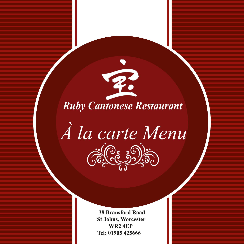

*À la carte Menu* Gelde Dis

> **38 Bransford Road St Johns, Worcester WR2 4EP Tel: 01905 425666**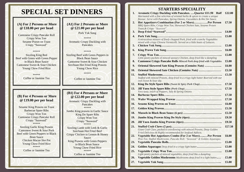# **SPECIAL SET DINNERS**

#### **(A) For 2 Persons or More @ £18.00 per per head**

Cantonese Crispy Pancake Roll Crispy Won Ton Sesame Prawn on Toast Crispy "Seaweed"

\*\*\*\*\*

Sizzling King Red Beef with Green with Green Pepper in Black Bean Sauce Cantonese Sweet & Sour Chicken Yeung Chow Fried Rice

\*\*\*\*\*

Coffee or Jasmine Tea

#### **(B) For 4 Persons or More @ £19.00 per per head**

Sesame King Prawns on Toast Barbecue Spare Ribs Crispy Won Ton Cantonese Crispy Pancake Roll Crispy "Seaweed" \*\*\*\*\*

Sizzling Garlic King Prawns Cantonese Sweet & Sour Pork Beef with Green Peppers in Black Bean Sauce Chicken Macao Hot Pot Yeung Chow Fried Rice \*\*\*\*\*

Coffee or Jasmine Tea

### **(A1) For 2 Persons or More @ £21.00 per per head**

Pork Yuk Sung

\*\*\*\*\* Aromatic Crispy Duckling with Pancakes

#### \*\*\*\*\* Sizzling Beef with Green Peppers in Black Bean Sauce Cantonese Sweet & Sour Chicken Szrchuan Hot Fried King Prawns

Yeung Chow Rice

\*\*\*\*\*

Coffee or Jasmine Tea

#### **(B1) For 4 Persons or More @ £22.00 per per head** Aromatic Crispy Duckling with Pancakes \*\*\*\*\*

Jumbo King prawns in Garlic Sauce King Do Spare Ribs Crispy Won Ton Crispy "Seaweed" \*\*\*\*\*

Sizzling Lamb with Leek & Garlic Szechuan Hot Fried Beef Crispy Chicken in Lemon & Honey Sauce King Prawns with Green Peppers in Black Bean Sauce Yeung Chow Fried Rice \*\*\*\*\*

> Coffee or Jasmine Tea ֬֕֜֬

> > ì

### **STARTERS SPECIALITY**

| 1.  | <b>Aromatic Crispy Duckling with Pancakes.  Quarter £11.50 Half</b>                                                                                         | £22.00 |
|-----|-------------------------------------------------------------------------------------------------------------------------------------------------------------|--------|
|     | Marinated with a fine selection of oriental herbs & spices to create a unique<br>flavour. Serve with Pancakes, Spring Onions, Cucumbers & Hoi Sin Sauce.    |        |
| 2.  | Hot Appetizers Combination (For 2 or More)Per Person<br>BBQ Spare Ribs, Crispy Won Ton, Skewered Chicken Sate, Sesame Prawn                                 | £7.50  |
| 3.  | Toast, & Crispy "Seaweed".                                                                                                                                  | £4.00  |
| 4.  | A miraculous mixture of finely chopped Pork, fried with crunchy Vegetables                                                                                  | £5.00  |
| 5.  | mixed with crispy Chinese Vermicelli. Served on a little boats of Lettuces.                                                                                 | £5.00  |
| 6.  |                                                                                                                                                             | £6.00  |
| 7.  |                                                                                                                                                             | £5.00  |
| 8.  | Little pastry packets of minced savoury Chicken, deep fried like a dumpling<br><b>Cantonese Crispy Pancake Rolls Minced Pork deep fried with Vegetables</b> | £5.00  |
| 9.  | Oriental Skewered Sate King Prawns (Contains Nuts)                                                                                                          | £6.00  |
| 10. | Oriental Skewered Sate Chicken (Contains Nuts)                                                                                                              | £5.50  |
| 11. | Stuffed with minced Prawns, deep fried in a crispy light batter &served with our<br>own Sweet & Sour dip.                                                   | £5.50  |
| 12. | King Do Style Spare Ribs (Sweet & Spicy Pork Chop)                                                                                                          | £7.50  |
| 13. | Very tasty, touch of Peppers, Saly & Spring Onions                                                                                                          | £7.50  |
| 14. |                                                                                                                                                             | £7.50  |
| 15. |                                                                                                                                                             | £7.50  |
| 16. |                                                                                                                                                             | £6.00  |
| 17. |                                                                                                                                                             | £5.50  |
| 18. |                                                                                                                                                             | £5.50  |
| 19. |                                                                                                                                                             | £9.50  |
| 20. |                                                                                                                                                             | £9.50  |
| 21. | Giant Crab Claw, packed to overflowing with minced Prawns, Deep Golden<br>Fried Delicious & Highly recommended for Seafood Addicts.                         | ££7.50 |
| 22. | <b>Vegetable Hot Appetizers Combo (For 2 or More)Per Person</b><br>Won Ton, Stuffed Mushrooms, Pancake Roll, "Seaweed" & Golden Asparagus.                  | £6.00  |
| 23. |                                                                                                                                                             | £5.00  |
| 24. | Golden Asparagus Deep fried in a crispy light batter                                                                                                        | £5.00  |
| 25. | Light pastry packets of minced vegetables, deep fried like a dumpling.                                                                                      | £5.00  |
| 26. | Vegetable Golden Mushrooms Mushrooms deep fried in a light batter                                                                                           | £5.00  |
| 27. |                                                                                                                                                             | £5.00  |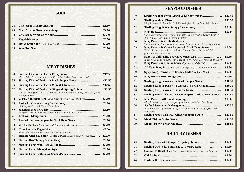## **SEAFOOD DISHES**

| <b>SOUP</b> |
|-------------|
|             |

| 32. |  |
|-----|--|

## **MEAT DISHES**

| 34. | Sliced Fillet Steak marinated in Rice Wine & Soya Sauce, stir fried                                                                                                 | £12.50 |
|-----|---------------------------------------------------------------------------------------------------------------------------------------------------------------------|--------|
| 35. | Sizzling Fillet of Beef with Black Pepper Sauce                                                                                                                     | £12.50 |
| 36. |                                                                                                                                                                     | £12.50 |
| 37. | Sizzling Fillet of Beef with Ginger & Spring Onions<br>It's different, you'll love it if you like the distinctive flavour of fresh Ginger &<br><b>Spring Onions</b> | £12.50 |
| 38. | Crispy Shredded Beef Chilli, Strip of Crispy Beef stir fried                                                                                                        | £8.80  |
| 39. | Beijing version with Yellow Bean Sauce                                                                                                                              | £8.80  |
| 40. | Stir fried with various Vegetables in Sweet & hot spicy sauce                                                                                                       | £8.80  |
| 41. |                                                                                                                                                                     | £8.80  |
| 42. |                                                                                                                                                                     | £8.80  |
| 43. | <b>Chi-Lo Beef</b> Stir fried Beef with Pineapples & fresh gingers                                                                                                  | £8.80  |
| 44. | <b>Slices of Chinese Roast Pork stir fried Vegetables</b>                                                                                                           | £8.50  |
| 45. | Sizzling Char Siu Satay (Contains Nuts) Oriental spicy hot sauce                                                                                                    | £8.50  |
| 46. |                                                                                                                                                                     | £8.80  |
| 47. |                                                                                                                                                                     | £8.80  |
| 48. |                                                                                                                                                                     | £8.80  |
| 49. | <b>Sizzling Lamb with Satay Sauce (Contains Nuts) </b>                                                                                                              | £8.80  |
|     |                                                                                                                                                                     |        |

| 50. | <b>Sizzling Scallops with Ginger &amp; Spring Onions</b>                                                                                        | £12.50 |
|-----|-------------------------------------------------------------------------------------------------------------------------------------------------|--------|
| 51. | King Prawns, Scallops & Monk Fish stir fried in Garlic & Wine Sauce.                                                                            | £12.50 |
| 52. |                                                                                                                                                 | £9.80  |
| 53. | Succulent saucy King Prawns, marinated & stir fried in Garlic, Chilli &                                                                         | £9.80  |
| 54. | Wine Sauce. Served on a Sizzling Platter.                                                                                                       |        |
|     | Succulent King Prawns with Rice Wine & garnished with Spring Onions                                                                             |        |
| 55. | King Prawns in Green Peppers & Black Bean Sauce<br>Typically Cantonese. Prepared with Onions, Garlic Sesame Oil &<br>finished with Wine Sauce   | £9.80  |
| 56. | A delicious treat, finished with Char Sui Pork, Chilli, Sweet & Sour Sauce                                                                      | £9.80  |
| 57. | King Prawns in Hoi Sin Sauce (Spicy & Lightly Hot)                                                                                              | £9.80  |
| 58. | <b>Jill Yuen King Prawns</b> A touch of Peppers, Salt & Spring Onions                                                                           | £9.80  |
| 59. | <b>Spicy King Prawns with Cashew Nuts (Contains Nuts) </b>                                                                                      | £9.80  |
| 60. |                                                                                                                                                 | £9.80  |
| 61. | <b>Sizzling King Prawns with Black Pepper Sauce</b>                                                                                             | £10.30 |
| 62. | <b>Sizzling King Prawns with Ginger &amp; Spring Onions</b>                                                                                     | £10.30 |
| 63. |                                                                                                                                                 | £10.30 |
| 64. | <b>Sizzling Monk Fish with Green Peppers &amp; Black Bean Sauce</b>                                                                             | £11.50 |
| 65. |                                                                                                                                                 | £9.80  |
| 66. | King Prawns cooked with Asparagus & touched with Wine Sauce<br>A Combination of King Prawns, Scallops & Monk Fish, stir fried with<br>Mangetout | £12.50 |
| 67. | Sizzling Monk Fish with Ginger & Spring Onio                                                                                                    | £11.50 |
| 68. |                                                                                                                                                 | £11.50 |
| 69. |                                                                                                                                                 | £10.80 |
|     |                                                                                                                                                 |        |

## **POULTRY DISHES**

| 70. |                                                                    | £9.80 |
|-----|--------------------------------------------------------------------|-------|
| 71. | <b>Sizzling Duck with Satay Sauce (Contains Nuts) </b>             | £9.80 |
| 72. | <b>Cantonese Roast Duck</b> Sliced crispy Duck with Barbecue Sauce | £9.80 |
| 73. |                                                                    | £9.80 |
| 74. |                                                                    | £9.80 |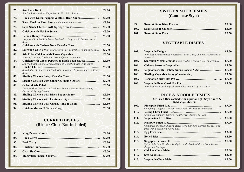| 75. | Stir fried with various Vegetables in Hot Spicy Sauce                                                                             | £9.80 |
|-----|-----------------------------------------------------------------------------------------------------------------------------------|-------|
| 76. |                                                                                                                                   | £9.80 |
| 77. | Roast Duck in Plum Sauce A delighted main course                                                                                  | £9.80 |
| 78. |                                                                                                                                   | £8.50 |
| 79. |                                                                                                                                   | £8.50 |
| 80. | Deep fried Fillet of Chicken in light batter, topped with Lemon Honey<br>Sauce                                                    | £8.50 |
| 81. |                                                                                                                                   | £8.50 |
| 82. | <b>Szechuan Chicken</b> Stir fried with various Vegetables in hot spicy sauce                                                     | £8.50 |
| 83. | Slices of Chicken, fried with Three Different Vegetables.                                                                         | £8.50 |
| 84. | <b>Chicken with Green Peppers &amp; Black Bean Saucce</b><br>Stir fried with Onion, Garlic, Sesame Oil, finished with Wine Sauce. | £8.50 |
| 85. | Sliced fillet of Chicken stir fried with Pineapples & fresh Ginger in Fruity                                                      | £8.50 |
| 86. | Sauce.                                                                                                                            | £8.50 |
| 87. | Sizzling Chicken with Ginger & Spring Onions                                                                                      | £8.50 |
| 88. | Duck, Pork & Chicken stir fried with Bamboo Shoots, Beansprouts,                                                                  | £8.50 |
| 89. | Carrots & Spring Onions.                                                                                                          | £8.50 |
| 90. |                                                                                                                                   | £8.50 |
| 91. | Sizzling Chicken with Garlic, Wine & Chilli                                                                                       | £8.50 |
| 92. |                                                                                                                                   | £8.50 |

### **CURRIED DISHES (Rice or Chips Not Included)**

|     | £9.80 |
|-----|-------|
| 94. | £9.80 |
| 95. | £8.80 |
|     | £8.50 |
| 97. | £8.50 |
| 98. |       |

## **SWEET & SOUR DISHES (Cantonese Style)**

| 99.         | £9.80 |
|-------------|-------|
| <b>100.</b> | £8.50 |
| <b>101.</b> | £8.50 |

#### **VEGETABLE DISHES**

| 102. |                                                                         | £7.50 |
|------|-------------------------------------------------------------------------|-------|
|      | Wok fried Chinese mixed Vegetables, Bean Curd, Chinese Mushrooms &      |       |
|      | Vermicelli.                                                             |       |
| 103. | <b>Szechuan Mixed Vegetable</b> Stir fried in a Sweet & Hot Spicy Sauce | £7.50 |
| 104. |                                                                         | £7.50 |
| 105. |                                                                         | £7.50 |
| 106. |                                                                         | £7.50 |
| 107. |                                                                         | £7.50 |
| 108. |                                                                         | £7.50 |
|      | Wok fried BeanCurd & fresh vegetables in touch of soya sauce.           |       |

### **RICE & NOODLE DISHES**

 **Our Fried Rice cooked with superior light Soya Sauce &** 

|             | light Vegetable Oil                                                                                          |       |
|-------------|--------------------------------------------------------------------------------------------------------------|-------|
| 109.        |                                                                                                              | £7.00 |
|             | with finely Chopped Chicken, Roast Pork, Shrimps & Pineapples                                                |       |
| <b>110.</b> |                                                                                                              | £7.00 |
| 111.        | with finely Chopped Chicken, Roast Pork, Shrimps & Peas                                                      | £7.00 |
| 112.        |                                                                                                              | £7.00 |
|             | with finely chopped Chicken, Roast Pork, Shrimps, Carrots & Peas, Wok<br>fried with a touch of Fruity Sauce. |       |
| 113.        |                                                                                                              | £3.00 |
| 114.        |                                                                                                              | £2.50 |
| 115.        |                                                                                                              | £7.50 |
|             | Spicy Light Rice Noodles, Wod fried with shredded Roast Pork, Green<br>Peppers & Shrimps.                    |       |
| 116.        |                                                                                                              | £8.80 |
| 117.        |                                                                                                              | £3.50 |
| 118.        |                                                                                                              | £8.00 |